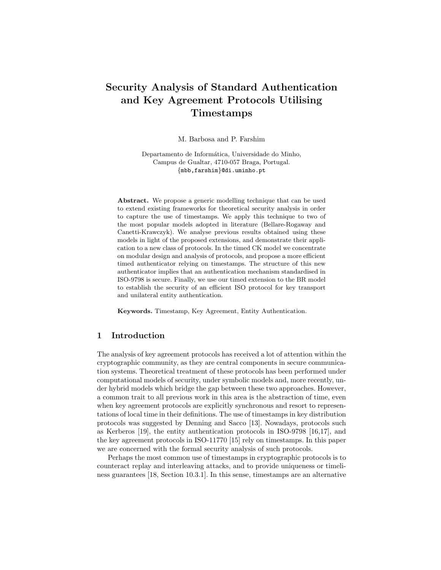# Security Analysis of Standard Authentication and Key Agreement Protocols Utilising Timestamps

M. Barbosa and P. Farshim

Departamento de Informática, Universidade do Minho, Campus de Gualtar, 4710-057 Braga, Portugal. {mbb,farshim}@di.uminho.pt

Abstract. We propose a generic modelling technique that can be used to extend existing frameworks for theoretical security analysis in order to capture the use of timestamps. We apply this technique to two of the most popular models adopted in literature (Bellare-Rogaway and Canetti-Krawczyk). We analyse previous results obtained using these models in light of the proposed extensions, and demonstrate their application to a new class of protocols. In the timed CK model we concentrate on modular design and analysis of protocols, and propose a more efficient timed authenticator relying on timestamps. The structure of this new authenticator implies that an authentication mechanism standardised in ISO-9798 is secure. Finally, we use our timed extension to the BR model to establish the security of an efficient ISO protocol for key transport and unilateral entity authentication.

Keywords. Timestamp, Key Agreement, Entity Authentication.

# 1 Introduction

The analysis of key agreement protocols has received a lot of attention within the cryptographic community, as they are central components in secure communication systems. Theoretical treatment of these protocols has been performed under computational models of security, under symbolic models and, more recently, under hybrid models which bridge the gap between these two approaches. However, a common trait to all previous work in this area is the abstraction of time, even when key agreement protocols are explicitly synchronous and resort to representations of local time in their definitions. The use of timestamps in key distribution protocols was suggested by Denning and Sacco [13]. Nowadays, protocols such as Kerberos [19], the entity authentication protocols in ISO-9798 [16,17], and the key agreement protocols in ISO-11770 [15] rely on timestamps. In this paper we are concerned with the formal security analysis of such protocols.

Perhaps the most common use of timestamps in cryptographic protocols is to counteract replay and interleaving attacks, and to provide uniqueness or timeliness guarantees [18, Section 10.3.1]. In this sense, timestamps are an alternative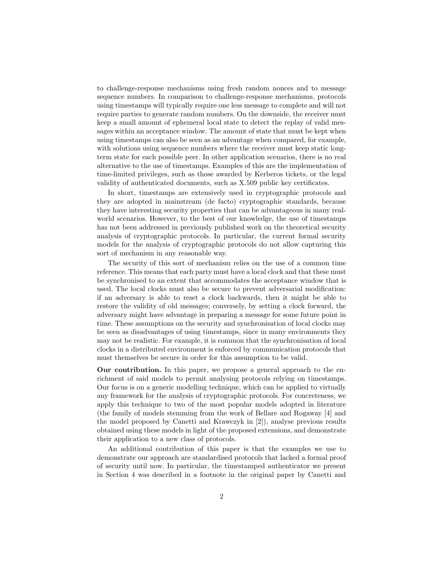to challenge-response mechanisms using fresh random nonces and to message sequence numbers. In comparison to challenge-response mechanisms, protocols using timestamps will typically require one less message to complete and will not require parties to generate random numbers. On the downside, the receiver must keep a small amount of ephemeral local state to detect the replay of valid messages within an acceptance window. The amount of state that must be kept when using timestamps can also be seen as an advantage when compared, for example, with solutions using sequence numbers where the receiver must keep static longterm state for each possible peer. In other application scenarios, there is no real alternative to the use of timestamps. Examples of this are the implementation of time-limited privileges, such as those awarded by Kerberos tickets, or the legal validity of authenticated documents, such as X.509 public key certificates.

In short, timestamps are extensively used in cryptographic protocols and they are adopted in mainstream (de facto) cryptographic standards, because they have interesting security properties that can be advantageous in many realworld scenarios. However, to the best of our knowledge, the use of timestamps has not been addressed in previously published work on the theoretical security analysis of cryptographic protocols. In particular, the current formal security models for the analysis of cryptographic protocols do not allow capturing this sort of mechanism in any reasonable way.

The security of this sort of mechanism relies on the use of a common time reference. This means that each party must have a local clock and that these must be synchronised to an extent that accommodates the acceptance window that is used. The local clocks must also be secure to prevent adversarial modification: if an adversary is able to reset a clock backwards, then it might be able to restore the validity of old messages; conversely, by setting a clock forward, the adversary might have advantage in preparing a message for some future point in time. These assumptions on the security and synchronisation of local clocks may be seen as disadvantages of using timestamps, since in many environments they may not be realistic. For example, it is common that the synchronisation of local clocks in a distributed environment is enforced by communication protocols that must themselves be secure in order for this assumption to be valid.

Our contribution. In this paper, we propose a general approach to the enrichment of said models to permit analysing protocols relying on timestamps. Our focus is on a generic modelling technique, which can be applied to virtually any framework for the analysis of cryptographic protocols. For concreteness, we apply this technique to two of the most popular models adopted in literature (the family of models stemming from the work of Bellare and Rogaway [4] and the model proposed by Canetti and Krawczyk in [2]), analyse previous results obtained using these models in light of the proposed extensions, and demonstrate their application to a new class of protocols.

An additional contribution of this paper is that the examples we use to demonstrate our approach are standardised protocols that lacked a formal proof of security until now. In particular, the timestamped authenticator we present in Section 4 was described in a footnote in the original paper by Canetti and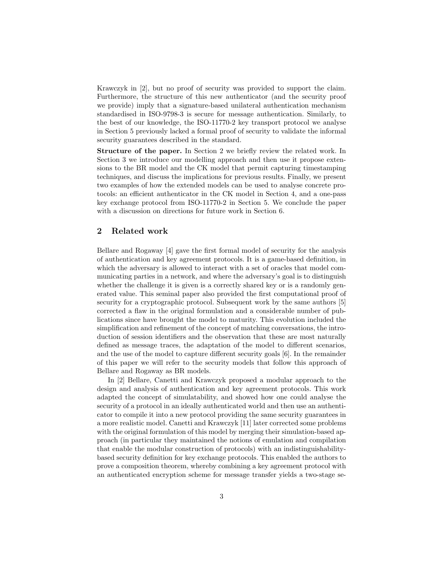Krawczyk in [2], but no proof of security was provided to support the claim. Furthermore, the structure of this new authenticator (and the security proof we provide) imply that a signature-based unilateral authentication mechanism standardised in ISO-9798-3 is secure for message authentication. Similarly, to the best of our knowledge, the ISO-11770-2 key transport protocol we analyse in Section 5 previously lacked a formal proof of security to validate the informal security guarantees described in the standard.

Structure of the paper. In Section 2 we briefly review the related work. In Section 3 we introduce our modelling approach and then use it propose extensions to the BR model and the CK model that permit capturing timestamping techniques, and discuss the implications for previous results. Finally, we present two examples of how the extended models can be used to analyse concrete protocols: an efficient authenticator in the CK model in Section 4, and a one-pass key exchange protocol from ISO-11770-2 in Section 5. We conclude the paper with a discussion on directions for future work in Section 6.

# 2 Related work

Bellare and Rogaway [4] gave the first formal model of security for the analysis of authentication and key agreement protocols. It is a game-based definition, in which the adversary is allowed to interact with a set of oracles that model communicating parties in a network, and where the adversary's goal is to distinguish whether the challenge it is given is a correctly shared key or is a randomly generated value. This seminal paper also provided the first computational proof of security for a cryptographic protocol. Subsequent work by the same authors [5] corrected a flaw in the original formulation and a considerable number of publications since have brought the model to maturity. This evolution included the simplification and refinement of the concept of matching conversations, the introduction of session identifiers and the observation that these are most naturally defined as message traces, the adaptation of the model to different scenarios, and the use of the model to capture different security goals [6]. In the remainder of this paper we will refer to the security models that follow this approach of Bellare and Rogaway as BR models.

In [2] Bellare, Canetti and Krawczyk proposed a modular approach to the design and analysis of authentication and key agreement protocols. This work adapted the concept of simulatability, and showed how one could analyse the security of a protocol in an ideally authenticated world and then use an authenticator to compile it into a new protocol providing the same security guarantees in a more realistic model. Canetti and Krawczyk [11] later corrected some problems with the original formulation of this model by merging their simulation-based approach (in particular they maintained the notions of emulation and compilation that enable the modular construction of protocols) with an indistinguishabilitybased security definition for key exchange protocols. This enabled the authors to prove a composition theorem, whereby combining a key agreement protocol with an authenticated encryption scheme for message transfer yields a two-stage se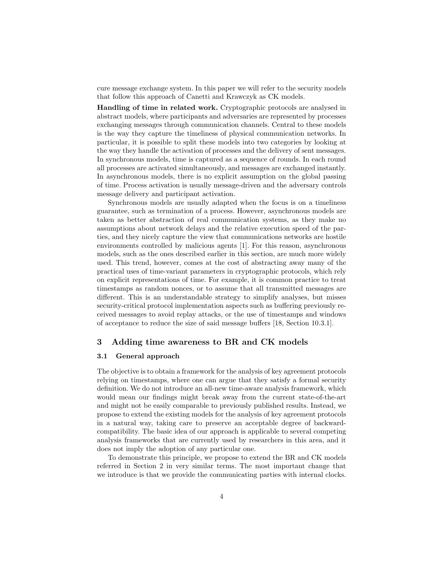cure message exchange system. In this paper we will refer to the security models that follow this approach of Canetti and Krawczyk as CK models.

Handling of time in related work. Cryptographic protocols are analysed in abstract models, where participants and adversaries are represented by processes exchanging messages through communication channels. Central to these models is the way they capture the timeliness of physical communication networks. In particular, it is possible to split these models into two categories by looking at the way they handle the activation of processes and the delivery of sent messages. In synchronous models, time is captured as a sequence of rounds. In each round all processes are activated simultaneously, and messages are exchanged instantly. In asynchronous models, there is no explicit assumption on the global passing of time. Process activation is usually message-driven and the adversary controls message delivery and participant activation.

Synchronous models are usually adapted when the focus is on a timeliness guarantee, such as termination of a process. However, asynchronous models are taken as better abstraction of real communication systems, as they make no assumptions about network delays and the relative execution speed of the parties, and they nicely capture the view that communications networks are hostile environments controlled by malicious agents [1]. For this reason, asynchronous models, such as the ones described earlier in this section, are much more widely used. This trend, however, comes at the cost of abstracting away many of the practical uses of time-variant parameters in cryptographic protocols, which rely on explicit representations of time. For example, it is common practice to treat timestamps as random nonces, or to assume that all transmitted messages are different. This is an understandable strategy to simplify analyses, but misses security-critical protocol implementation aspects such as buffering previously received messages to avoid replay attacks, or the use of timestamps and windows of acceptance to reduce the size of said message buffers [18, Section 10.3.1].

## 3 Adding time awareness to BR and CK models

#### 3.1 General approach

The objective is to obtain a framework for the analysis of key agreement protocols relying on timestamps, where one can argue that they satisfy a formal security definition. We do not introduce an all-new time-aware analysis framework, which would mean our findings might break away from the current state-of-the-art and might not be easily comparable to previously published results. Instead, we propose to extend the existing models for the analysis of key agreement protocols in a natural way, taking care to preserve an acceptable degree of backwardcompatibility. The basic idea of our approach is applicable to several competing analysis frameworks that are currently used by researchers in this area, and it does not imply the adoption of any particular one.

To demonstrate this principle, we propose to extend the BR and CK models referred in Section 2 in very similar terms. The most important change that we introduce is that we provide the communicating parties with internal clocks.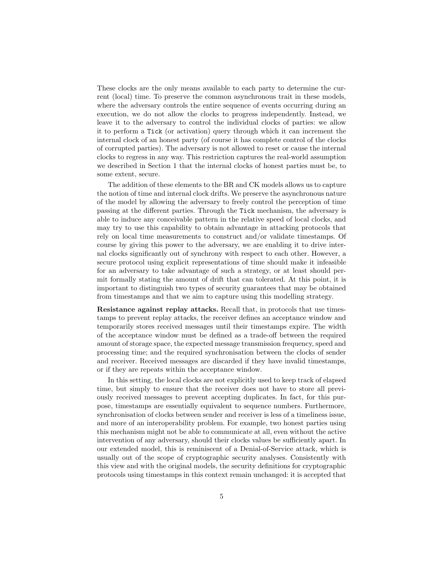These clocks are the only means available to each party to determine the current (local) time. To preserve the common asynchronous trait in these models, where the adversary controls the entire sequence of events occurring during an execution, we do not allow the clocks to progress independently. Instead, we leave it to the adversary to control the individual clocks of parties: we allow it to perform a Tick (or activation) query through which it can increment the internal clock of an honest party (of course it has complete control of the clocks of corrupted parties). The adversary is not allowed to reset or cause the internal clocks to regress in any way. This restriction captures the real-world assumption we described in Section 1 that the internal clocks of honest parties must be, to some extent, secure.

The addition of these elements to the BR and CK models allows us to capture the notion of time and internal clock drifts. We preserve the asynchronous nature of the model by allowing the adversary to freely control the perception of time passing at the different parties. Through the Tick mechanism, the adversary is able to induce any conceivable pattern in the relative speed of local clocks, and may try to use this capability to obtain advantage in attacking protocols that rely on local time measurements to construct and/or validate timestamps. Of course by giving this power to the adversary, we are enabling it to drive internal clocks significantly out of synchrony with respect to each other. However, a secure protocol using explicit representations of time should make it infeasible for an adversary to take advantage of such a strategy, or at least should permit formally stating the amount of drift that can tolerated. At this point, it is important to distinguish two types of security guarantees that may be obtained from timestamps and that we aim to capture using this modelling strategy.

Resistance against replay attacks. Recall that, in protocols that use timestamps to prevent replay attacks, the receiver defines an acceptance window and temporarily stores received messages until their timestamps expire. The width of the acceptance window must be defined as a trade-off between the required amount of storage space, the expected message transmission frequency, speed and processing time; and the required synchronisation between the clocks of sender and receiver. Received messages are discarded if they have invalid timestamps, or if they are repeats within the acceptance window.

In this setting, the local clocks are not explicitly used to keep track of elapsed time, but simply to ensure that the receiver does not have to store all previously received messages to prevent accepting duplicates. In fact, for this purpose, timestamps are essentially equivalent to sequence numbers. Furthermore, synchronisation of clocks between sender and receiver is less of a timeliness issue, and more of an interoperability problem. For example, two honest parties using this mechanism might not be able to communicate at all, even without the active intervention of any adversary, should their clocks values be sufficiently apart. In our extended model, this is reminiscent of a Denial-of-Service attack, which is usually out of the scope of cryptographic security analyses. Consistently with this view and with the original models, the security definitions for cryptographic protocols using timestamps in this context remain unchanged: it is accepted that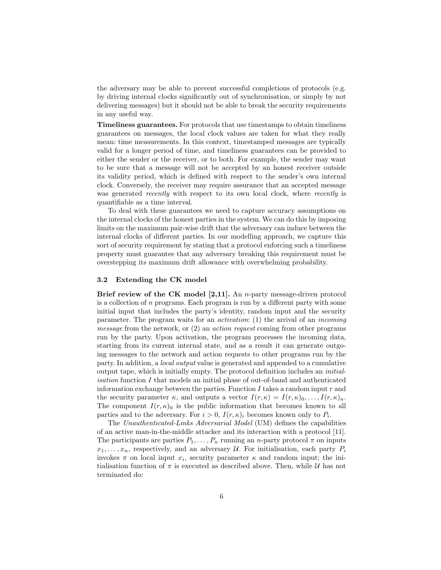the adversary may be able to prevent successful completions of protocols (e.g. by driving internal clocks significantly out of synchronisation, or simply by not delivering messages) but it should not be able to break the security requirements in any useful way.

Timeliness guarantees. For protocols that use timestamps to obtain timeliness guarantees on messages, the local clock values are taken for what they really mean: time measurements. In this context, timestamped messages are typically valid for a longer period of time, and timeliness guarantees can be provided to either the sender or the receiver, or to both. For example, the sender may want to be sure that a message will not be accepted by an honest receiver outside its validity period, which is defined with respect to the sender's own internal clock. Conversely, the receiver may require assurance that an accepted message was generated *recently* with respect to its own local clock, where *recently* is quantifiable as a time interval.

To deal with these guarantees we need to capture accuracy assumptions on the internal clocks of the honest parties in the system. We can do this by imposing limits on the maximum pair-wise drift that the adversary can induce between the internal clocks of different parties. In our modelling approach, we capture this sort of security requirement by stating that a protocol enforcing such a timeliness property must guarantee that any adversary breaking this requirement must be overstepping its maximum drift allowance with overwhelming probability.

#### 3.2 Extending the CK model

Brief review of the CK model [2,11]. An n-party message-driven protocol is a collection of  $n$  programs. Each program is run by a different party with some initial input that includes the party's identity, random input and the security parameter. The program waits for an activation: (1) the arrival of an incoming message from the network, or (2) an action request coming from other programs run by the party. Upon activation, the program processes the incoming data, starting from its current internal state, and as a result it can generate outgoing messages to the network and action requests to other programs run by the party. In addition, a local output value is generated and appended to a cumulative output tape, which is initially empty. The protocol definition includes an initialisation function I that models an initial phase of out-of-band and authenticated information exchange between the parties. Function  $I$  takes a random input  $r$  and the security parameter  $\kappa$ , and outputs a vector  $I(r,\kappa) = I(r,\kappa)_{0}, \ldots, I(r,\kappa)_{n}$ . The component  $I(r, \kappa)$  is the public information that becomes known to all parties and to the adversary. For  $i > 0$ ,  $I(r, \kappa)_i$  becomes known only to  $P_i$ .

The Unauthenticated-Links Adversarial Model (UM) defines the capabilities of an active man-in-the-middle attacker and its interaction with a protocol [11]. The participants are parties  $P_1, \ldots, P_n$  running an *n*-party protocol  $\pi$  on inputs  $x_1, \ldots, x_n$ , respectively, and an adversary U. For initialisation, each party  $P_i$ invokes  $\pi$  on local input  $x_i$ , security parameter  $\kappa$  and random input; the initialisation function of  $\pi$  is executed as described above. Then, while U has not terminated do: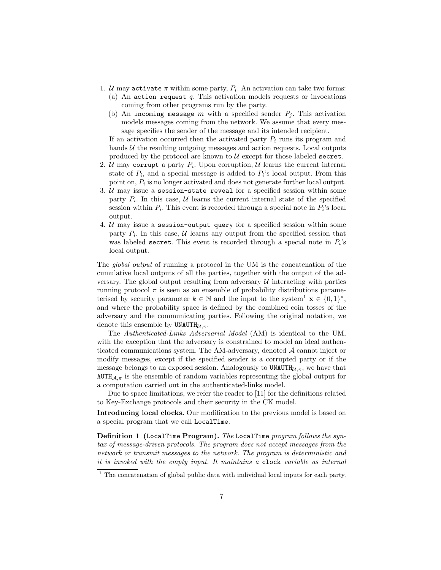- 1. U may activate  $\pi$  within some party,  $P_i$ . An activation can take two forms:
	- (a) An action request q. This activation models requests or invocations coming from other programs run by the party.
	- (b) An incoming message m with a specified sender  $P_i$ . This activation models messages coming from the network. We assume that every message specifies the sender of the message and its intended recipient.

If an activation occurred then the activated party  $P_i$  runs its program and hands  $U$  the resulting outgoing messages and action requests. Local outputs produced by the protocol are known to  $U$  except for those labeled secret.

- 2. U may corrupt a party  $P_i$ . Upon corruption, U learns the current internal state of  $P_i$ , and a special message is added to  $P_i$ 's local output. From this point on,  $P_i$  is no longer activated and does not generate further local output.
- 3.  $U$  may issue a session-state reveal for a specified session within some party  $P_i$ . In this case,  $U$  learns the current internal state of the specified session within  $P_i$ . This event is recorded through a special note in  $P_i$ 's local output.
- 4.  $U$  may issue a session-output query for a specified session within some party  $P_i$ . In this case,  $U$  learns any output from the specified session that was labeled secret. This event is recorded through a special note in  $P_i$ 's local output.

The global output of running a protocol in the UM is the concatenation of the cumulative local outputs of all the parties, together with the output of the adversary. The global output resulting from adversary  $U$  interacting with parties running protocol  $\pi$  is seen as an ensemble of probability distributions parameterised by security parameter  $k \in \mathbb{N}$  and the input to the system<sup>1</sup>  $\mathbf{x} \in \{0,1\}^*$ , and where the probability space is defined by the combined coin tosses of the adversary and the communicating parties. Following the original notation, we denote this ensemble by UNAUTH $_{\mathcal{U},\pi}$ .

The Authenticated-Links Adversarial Model (AM) is identical to the UM, with the exception that the adversary is constrained to model an ideal authenticated communications system. The AM-adversary, denoted A cannot inject or modify messages, except if the specified sender is a corrupted party or if the message belongs to an exposed session. Analogously to UNAUTH $_{\mathcal{U},\pi}$ , we have that  $\text{AUTH}_{\mathcal{A}, \pi}$  is the ensemble of random variables representing the global output for a computation carried out in the authenticated-links model.

Due to space limitations, we refer the reader to [11] for the definitions related to Key-Exchange protocols and their security in the CK model.

Introducing local clocks. Our modification to the previous model is based on a special program that we call LocalTime.

Definition 1 (LocalTime Program). The LocalTime program follows the syntax of message-driven protocols. The program does not accept messages from the network or transmit messages to the network. The program is deterministic and it is invoked with the empty input. It maintains a clock variable as internal

 $^{\rm 1}$  The concatenation of global public data with individual local inputs for each party.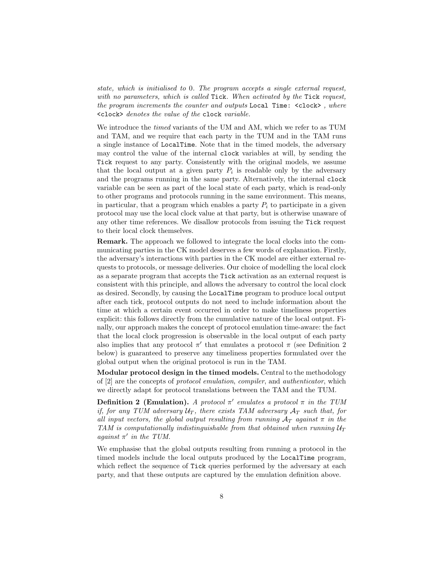state, which is initialised to 0. The program accepts a single external request, with no parameters, which is called Tick. When activated by the Tick request, the program increments the counter and outputs Local Time: <clock>, where <clock> denotes the value of the clock variable.

We introduce the timed variants of the UM and AM, which we refer to as TUM and TAM, and we require that each party in the TUM and in the TAM runs a single instance of LocalTime. Note that in the timed models, the adversary may control the value of the internal clock variables at will, by sending the Tick request to any party. Consistently with the original models, we assume that the local output at a given party  $P_i$  is readable only by the adversary and the programs running in the same party. Alternatively, the internal clock variable can be seen as part of the local state of each party, which is read-only to other programs and protocols running in the same environment. This means, in particular, that a program which enables a party  $P_i$  to participate in a given protocol may use the local clock value at that party, but is otherwise unaware of any other time references. We disallow protocols from issuing the Tick request to their local clock themselves.

Remark. The approach we followed to integrate the local clocks into the communicating parties in the CK model deserves a few words of explanation. Firstly, the adversary's interactions with parties in the CK model are either external requests to protocols, or message deliveries. Our choice of modelling the local clock as a separate program that accepts the Tick activation as an external request is consistent with this principle, and allows the adversary to control the local clock as desired. Secondly, by causing the LocalTime program to produce local output after each tick, protocol outputs do not need to include information about the time at which a certain event occurred in order to make timeliness properties explicit: this follows directly from the cumulative nature of the local output. Finally, our approach makes the concept of protocol emulation time-aware: the fact that the local clock progression is observable in the local output of each party also implies that any protocol  $\pi'$  that emulates a protocol  $\pi$  (see Definition 2) below) is guaranteed to preserve any timeliness properties formulated over the global output when the original protocol is run in the TAM.

Modular protocol design in the timed models. Central to the methodology of [2] are the concepts of protocol emulation, compiler, and authenticator, which we directly adapt for protocol translations between the TAM and the TUM.

**Definition 2 (Emulation).** A protocol  $\pi'$  emulates a protocol  $\pi$  in the TUM if, for any TUM adversary  $U_T$ , there exists TAM adversary  $A_T$  such that, for all input vectors, the global output resulting from running  $A_T$  against  $\pi$  in the TAM is computationally indistinguishable from that obtained when running  $U_T$ against  $\pi'$  in the TUM.

We emphasise that the global outputs resulting from running a protocol in the timed models include the local outputs produced by the LocalTime program, which reflect the sequence of Tick queries performed by the adversary at each party, and that these outputs are captured by the emulation definition above.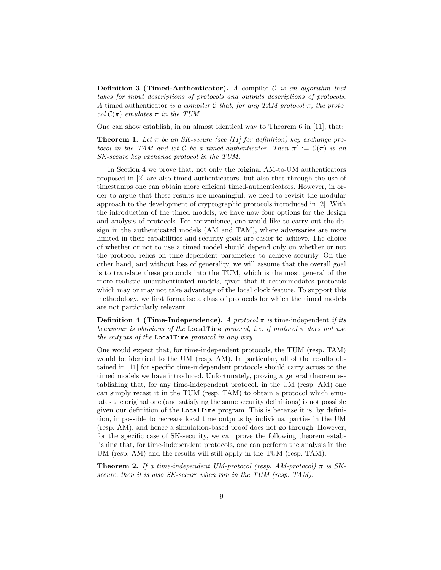**Definition 3 (Timed-Authenticator).** A compiler C is an algorithm that takes for input descriptions of protocols and outputs descriptions of protocols. A timed-authenticator is a compiler C that, for any TAM protocol  $\pi$ , the protocol  $\mathcal{C}(\pi)$  emulates  $\pi$  in the TUM.

One can show establish, in an almost identical way to Theorem 6 in [11], that:

**Theorem 1.** Let  $\pi$  be an SK-secure (see [11] for definition) key exchange protocol in the TAM and let C be a timed-authenticator. Then  $\pi' := \mathcal{C}(\pi)$  is an SK-secure key exchange protocol in the TUM.

In Section 4 we prove that, not only the original AM-to-UM authenticators proposed in [2] are also timed-authenticators, but also that through the use of timestamps one can obtain more efficient timed-authenticators. However, in order to argue that these results are meaningful, we need to revisit the modular approach to the development of cryptographic protocols introduced in [2]. With the introduction of the timed models, we have now four options for the design and analysis of protocols. For convenience, one would like to carry out the design in the authenticated models (AM and TAM), where adversaries are more limited in their capabilities and security goals are easier to achieve. The choice of whether or not to use a timed model should depend only on whether or not the protocol relies on time-dependent parameters to achieve security. On the other hand, and without loss of generality, we will assume that the overall goal is to translate these protocols into the TUM, which is the most general of the more realistic unauthenticated models, given that it accommodates protocols which may or may not take advantage of the local clock feature. To support this methodology, we first formalise a class of protocols for which the timed models are not particularly relevant.

**Definition 4 (Time-Independence).** A protocol  $\pi$  is time-independent if its behaviour is oblivious of the LocalTime protocol, i.e. if protocol  $\pi$  does not use the outputs of the LocalTime protocol in any way.

One would expect that, for time-independent protocols, the TUM (resp. TAM) would be identical to the UM (resp. AM). In particular, all of the results obtained in [11] for specific time-independent protocols should carry across to the timed models we have introduced. Unfortunately, proving a general theorem establishing that, for any time-independent protocol, in the UM (resp. AM) one can simply recast it in the TUM (resp. TAM) to obtain a protocol which emulates the original one (and satisfying the same security definitions) is not possible given our definition of the LocalTime program. This is because it is, by definition, impossible to recreate local time outputs by individual parties in the UM (resp. AM), and hence a simulation-based proof does not go through. However, for the specific case of SK-security, we can prove the following theorem establishing that, for time-independent protocols, one can perform the analysis in the UM (resp. AM) and the results will still apply in the TUM (resp. TAM).

**Theorem 2.** If a time-independent UM-protocol (resp. AM-protocol)  $\pi$  is SKsecure, then it is also SK-secure when run in the TUM (resp. TAM).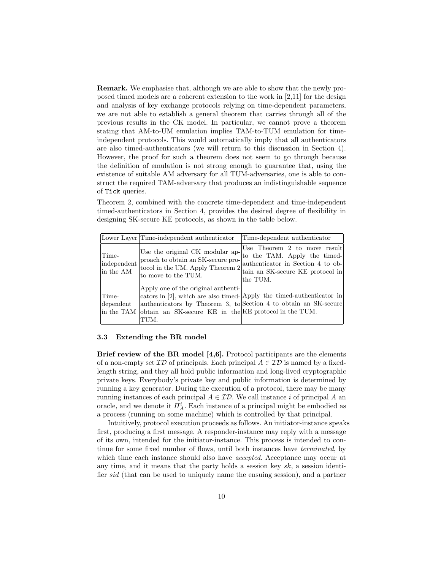Remark. We emphasise that, although we are able to show that the newly proposed timed models are a coherent extension to the work in  $[2,11]$  for the design and analysis of key exchange protocols relying on time-dependent parameters, we are not able to establish a general theorem that carries through all of the previous results in the CK model. In particular, we cannot prove a theorem stating that AM-to-UM emulation implies TAM-to-TUM emulation for timeindependent protocols. This would automatically imply that all authenticators are also timed-authenticators (we will return to this discussion in Section 4). However, the proof for such a theorem does not seem to go through because the definition of emulation is not strong enough to guarantee that, using the existence of suitable AM adversary for all TUM-adversaries, one is able to construct the required TAM-adversary that produces an indistinguishable sequence of Tick queries.

Theorem 2, combined with the concrete time-dependent and time-independent timed-authenticators in Section 4, provides the desired degree of flexibility in designing SK-secure KE protocols, as shown in the table below.

|                                   | Lower Layer Time-independent authenticator                                                                                                                                          | Time-dependent authenticator                                                                                                                      |
|-----------------------------------|-------------------------------------------------------------------------------------------------------------------------------------------------------------------------------------|---------------------------------------------------------------------------------------------------------------------------------------------------|
| Time-<br>independent<br>in the AM | Use the original CK modular ap-<br>proach to obtain an SK-secure pro-<br>tocol in the UM. Apply Theorem 2<br>to move to the TUM.                                                    | Use Theorem 2 to move result<br>to the TAM. Apply the timed-<br>authenticator in Section 4 to ob-<br>tain an SK-secure KE protocol in<br>the TUM. |
| Time-<br>dependent                | Apply one of the original authenti-<br>authenticators by Theorem 3, to Section 4 to obtain an SK-secure<br>in the TAM obtain an SK-secure KE in the KE protocol in the TUM.<br>TUM. | cators in [2], which are also timed- $ $ Apply the timed-authenticator in                                                                         |

#### 3.3 Extending the BR model

Brief review of the BR model [4,6]. Protocol participants are the elements of a non-empty set  $\mathcal{ID}$  of principals. Each principal  $A \in \mathcal{ID}$  is named by a fixedlength string, and they all hold public information and long-lived cryptographic private keys. Everybody's private key and public information is determined by running a key generator. During the execution of a protocol, there may be many running instances of each principal  $A \in \mathcal{ID}$ . We call instance i of principal A an oracle, and we denote it  $\prod_{A}^{i}$ . Each instance of a principal might be embodied as a process (running on some machine) which is controlled by that principal.

Intuitively, protocol execution proceeds as follows. An initiator-instance speaks first, producing a first message. A responder-instance may reply with a message of its own, intended for the initiator-instance. This process is intended to continue for some fixed number of flows, until both instances have terminated, by which time each instance should also have *accepted*. Acceptance may occur at any time, and it means that the party holds a session key  $sk$ , a session identifier sid (that can be used to uniquely name the ensuing session), and a partner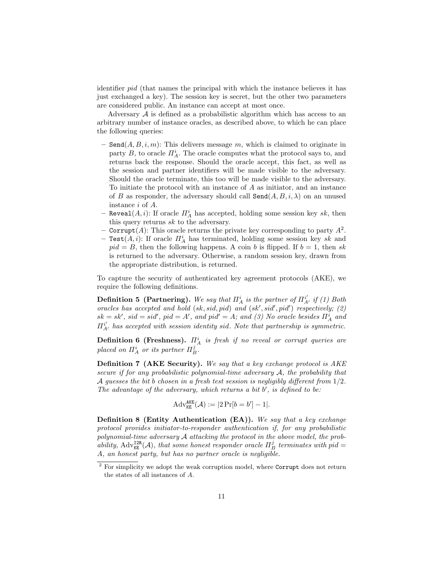identifier pid (that names the principal with which the instance believes it has just exchanged a key). The session key is secret, but the other two parameters are considered public. An instance can accept at most once.

Adversary  $A$  is defined as a probabilistic algorithm which has access to an arbitrary number of instance oracles, as described above, to which he can place the following queries:

- Send $(A, B, i, m)$ : This delivers message m, which is claimed to originate in party B, to oracle  $\Pi_A^i$ . The oracle computes what the protocol says to, and returns back the response. Should the oracle accept, this fact, as well as the session and partner identifiers will be made visible to the adversary. Should the oracle terminate, this too will be made visible to the adversary. To initiate the protocol with an instance of A as initiator, and an instance of B as responder, the adversary should call  $\texttt{Send}(A, B, i, \lambda)$  on an unused instance i of A.
- Reveal $(A, i)$ : If oracle  $\prod_{A}^{i}$  has accepted, holding some session key sk, then this query returns sk to the adversary.
- Corrupt(A): This oracle returns the private key corresponding to party  $A^2$ .
- Test $(A, i)$ : If oracle  $\prod_A^i$  has terminated, holding some session key sk and  $pid = B$ , then the following happens. A coin b is flipped. If  $b = 1$ , then sk is returned to the adversary. Otherwise, a random session key, drawn from the appropriate distribution, is returned.

To capture the security of authenticated key agreement protocols (AKE), we require the following definitions.

**Definition 5 (Partnering).** We say that  $\Pi_A^i$  is the partner of  $\Pi_{A'}^{i'}$  if (1) Both oracles has accepted and hold  $(sk, sid, pid)$  and  $(sk', sid', pid')$  respectively; (2)  $sk = sk'$ ,  $sid = sid'$ ,  $pid = A'$ , and  $pid' = A$ ; and (3) No oracle besides  $\Pi_A^i$  and  $\Pi_{A'}^{i'}$  has accepted with session identity sid. Note that partnership is symmetric.

**Definition 6 (Freshness).**  $\Pi_A^i$  is fresh if no reveal or corrupt queries are placed on  $\Pi^i_A$  or its partner  $\Pi^j_B$ .

Definition 7 (AKE Security). We say that a key exchange protocol is AKE secure if for any probabilistic polynomial-time adversary A, the probability that A guesses the bit b chosen in a fresh test session is negligibly different from  $1/2$ . The advantage of the adversary, which returns a bit  $b'$ , is defined to be:

$$
\mathrm{Adv}_{\mathtt{KE}}^{\mathtt{AKE}}(\mathcal{A}) := |2 \Pr[b = b'] - 1|.
$$

Definition 8 (Entity Authentication (EA)). We say that a key exchange protocol provides initiator-to-responder authentication if, for any probabilistic polynomial-time adversary A attacking the protocol in the above model, the probability,  $\text{Adv}_{\text{KE}}^{\text{I2R}}(\mathcal{A})$ , that some honest responder oracle  $\Pi_B^j$  terminates with pid = A, an honest party, but has no partner oracle is negligible.

 $2$  For simplicity we adopt the weak corruption model, where Corrupt does not return the states of all instances of A.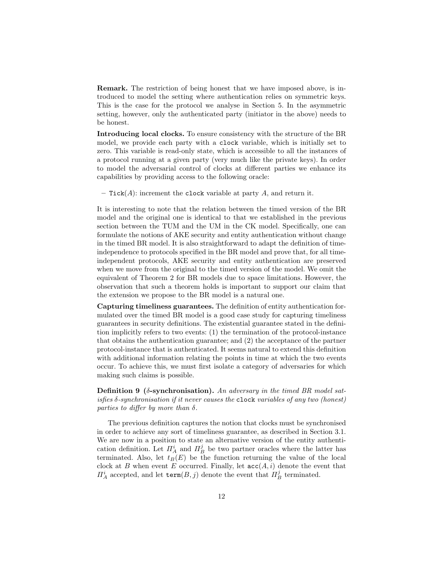Remark. The restriction of being honest that we have imposed above, is introduced to model the setting where authentication relies on symmetric keys. This is the case for the protocol we analyse in Section 5. In the asymmetric setting, however, only the authenticated party (initiator in the above) needs to be honest.

Introducing local clocks. To ensure consistency with the structure of the BR model, we provide each party with a clock variable, which is initially set to zero. This variable is read-only state, which is accessible to all the instances of a protocol running at a given party (very much like the private keys). In order to model the adversarial control of clocks at different parties we enhance its capabilities by providing access to the following oracle:

– Tick $(A)$ : increment the clock variable at party A, and return it.

It is interesting to note that the relation between the timed version of the BR model and the original one is identical to that we established in the previous section between the TUM and the UM in the CK model. Specifically, one can formulate the notions of AKE security and entity authentication without change in the timed BR model. It is also straightforward to adapt the definition of timeindependence to protocols specified in the BR model and prove that, for all timeindependent protocols, AKE security and entity authentication are preserved when we move from the original to the timed version of the model. We omit the equivalent of Theorem 2 for BR models due to space limitations. However, the observation that such a theorem holds is important to support our claim that the extension we propose to the BR model is a natural one.

Capturing timeliness guarantees. The definition of entity authentication formulated over the timed BR model is a good case study for capturing timeliness guarantees in security definitions. The existential guarantee stated in the definition implicitly refers to two events: (1) the termination of the protocol-instance that obtains the authentication guarantee; and (2) the acceptance of the partner protocol-instance that is authenticated. It seems natural to extend this definition with additional information relating the points in time at which the two events occur. To achieve this, we must first isolate a category of adversaries for which making such claims is possible.

Definition 9 (δ-synchronisation). An adversary in the timed BR model satisfies δ-synchronisation if it never causes the clock variables of any two (honest) parties to differ by more than  $\delta$ .

The previous definition captures the notion that clocks must be synchronised in order to achieve any sort of timeliness guarantee, as described in Section 3.1. We are now in a position to state an alternative version of the entity authentication definition. Let  $\prod_{A}^{i}$  and  $\prod_{B}^{j}$  be two partner oracles where the latter has terminated. Also, let  $t_B(E)$  be the function returning the value of the local clock at B when event E occurred. Finally, let  $\operatorname{acc}(A, i)$  denote the event that  $\Pi_A^i$  accepted, and let  $\texttt{term}(B, j)$  denote the event that  $\Pi_B^j$  terminated.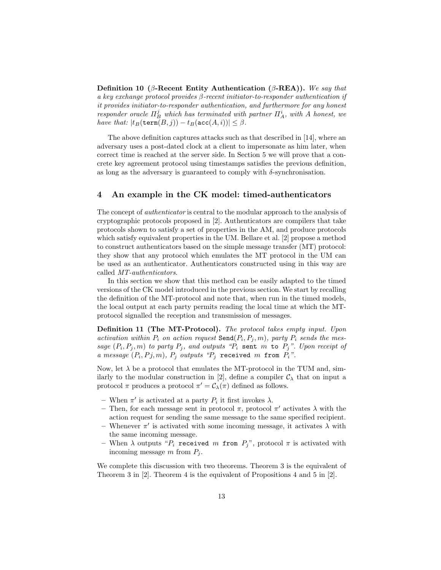Definition 10 (β-Recent Entity Authentication (β-REA)). We say that a key exchange protocol provides β-recent initiator-to-responder authentication if it provides initiator-to-responder authentication, and furthermore for any honest responder oracle  $\Pi_B^j$  which has terminated with partner  $\Pi_A^i$ , with A honest, we have that:  $|t_B(\texttt{term}(B, j)) - t_B(\texttt{acc}(A, i))| \leq \beta$ .

The above definition captures attacks such as that described in [14], where an adversary uses a post-dated clock at a client to impersonate as him later, when correct time is reached at the server side. In Section 5 we will prove that a concrete key agreement protocol using timestamps satisfies the previous definition, as long as the adversary is guaranteed to comply with  $\delta$ -synchronisation.

# 4 An example in the CK model: timed-authenticators

The concept of authenticator is central to the modular approach to the analysis of cryptographic protocols proposed in [2]. Authenticators are compilers that take protocols shown to satisfy a set of properties in the AM, and produce protocols which satisfy equivalent properties in the UM. Bellare et al. [2] propose a method to construct authenticators based on the simple message transfer (MT) protocol: they show that any protocol which emulates the MT protocol in the UM can be used as an authenticator. Authenticators constructed using in this way are called MT-authenticators.

In this section we show that this method can be easily adapted to the timed versions of the CK model introduced in the previous section. We start by recalling the definition of the MT-protocol and note that, when run in the timed models, the local output at each party permits reading the local time at which the MTprotocol signalled the reception and transmission of messages.

Definition 11 (The MT-Protocol). The protocol takes empty input. Upon activation within  $P_i$  on action request  $\texttt{Send}(P_i, P_j, m)$ , party  $P_i$  sends the message  $(P_i, P_j, m)$  to party  $P_j$ , and outputs " $P_i$  sent m to  $P_j$ ". Upon receipt of a message  $(P_i, P_j, m)$ ,  $P_j$  outputs " $P_j$  received m from  $P_i$ ".

Now, let  $\lambda$  be a protocol that emulates the MT-protocol in the TUM and, similarly to the modular construction in [2], define a compiler  $\mathcal{C}_{\lambda}$  that on input a protocol  $\pi$  produces a protocol  $\pi' = \mathcal{C}_{\lambda}(\pi)$  defined as follows.

- When  $\pi'$  is activated at a party  $P_i$  it first invokes  $\lambda$ .
- Then, for each message sent in protocol  $\pi$ , protocol  $\pi'$  activates  $\lambda$  with the action request for sending the same message to the same specified recipient.
- Whenever  $\pi'$  is activated with some incoming message, it activates  $\lambda$  with the same incoming message.
- When  $\lambda$  outputs " $P_i$  received m from  $P_j$ ", protocol  $\pi$  is activated with incoming message  $m$  from  $P_i$ .

We complete this discussion with two theorems. Theorem 3 is the equivalent of Theorem 3 in [2]. Theorem 4 is the equivalent of Propositions 4 and 5 in [2].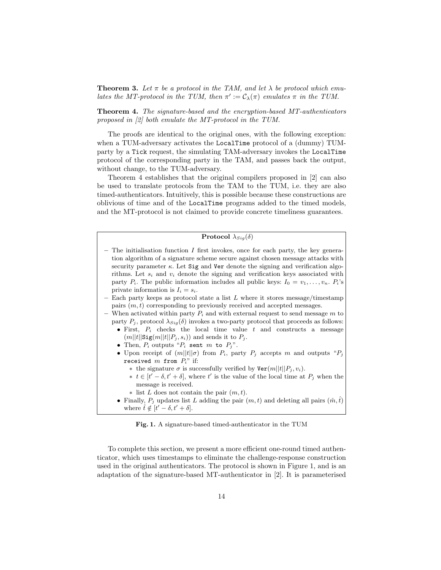**Theorem 3.** Let  $\pi$  be a protocol in the TAM, and let  $\lambda$  be protocol which emulates the MT-protocol in the TUM, then  $\pi' := \mathcal{C}_{\lambda}(\pi)$  emulates  $\pi$  in the TUM.

Theorem 4. The signature-based and the encryption-based MT-authenticators proposed in [2] both emulate the MT-protocol in the TUM.

The proofs are identical to the original ones, with the following exception: when a TUM-adversary activates the LocalTime protocol of a (dummy) TUMparty by a Tick request, the simulating TAM-adversary invokes the LocalTime protocol of the corresponding party in the TAM, and passes back the output, without change, to the TUM-adversary.

Theorem 4 establishes that the original compilers proposed in [2] can also be used to translate protocols from the TAM to the TUM, i.e. they are also timed-authenticators. Intuitively, this is possible because these constructions are oblivious of time and of the LocalTime programs added to the timed models, and the MT-protocol is not claimed to provide concrete timeliness guarantees.

**Protocol**  $\lambda_{Sig}(\delta)$ 

- $-$  The initialisation function I first invokes, once for each party, the key generation algorithm of a signature scheme secure against chosen message attacks with security parameter  $\kappa$ . Let Sig and Ver denote the signing and verification algorithms. Let  $s_i$  and  $v_i$  denote the signing and verification keys associated with party  $P_i$ . The public information includes all public keys:  $I_0 = v_1, \ldots, v_n$ .  $P_i$ 's private information is  $I_i = s_i$ .
- Each party keeps as protocol state a list  $L$  where it stores message/timestamp pairs  $(m, t)$  corresponding to previously received and accepted messages.
- When activated within party  $P_i$  and with external request to send message m to party  $P_j$ , protocol  $\lambda_{Sig}(\delta)$  invokes a two-party protocol that proceeds as follows:
	- First,  $P_i$  checks the local time value t and constructs a message  $(m||t||\text{Sig}(m||t||P_j, s_i))$  and sends it to  $P_j$ .
	- Then,  $P_i$  outputs " $P_i$  sent m to  $P_j$ ".
	- Upon receipt of  $(m||t||\sigma)$  from  $P_i$ , party  $P_j$  accepts m and outputs " $P_j$ " received  $m$  from  $P_i$ " if:
		- ∗ the signature σ is successfully verified by  $Ver(m||t||P_j, v_i)$ .
		- $*$  t ∈ [t'  $\delta, t' + \delta$ ], where t' is the value of the local time at  $P_j$  when the message is received.
		- $*$  list L does not contain the pair  $(m, t)$ .

• Finally,  $P_j$  updates list L adding the pair  $(m, t)$  and deleting all pairs  $(\hat{m}, \hat{t})$ where  $\hat{t} \notin [t'-\delta, t'+\delta].$ 

Fig. 1. A signature-based timed-authenticator in the TUM

To complete this section, we present a more efficient one-round timed authenticator, which uses timestamps to eliminate the challenge-response construction used in the original authenticators. The protocol is shown in Figure 1, and is an adaptation of the signature-based MT-authenticator in [2]. It is parameterised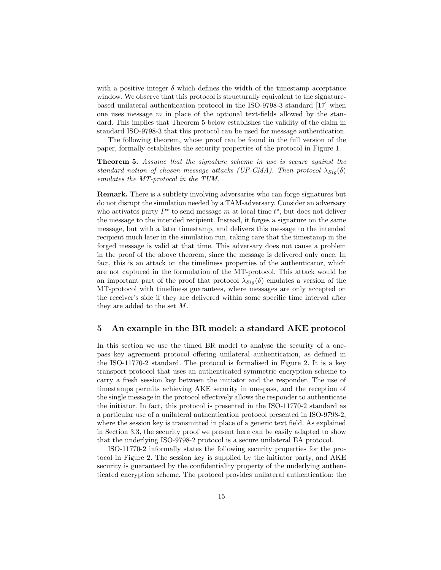with a positive integer  $\delta$  which defines the width of the timestamp acceptance window. We observe that this protocol is structurally equivalent to the signaturebased unilateral authentication protocol in the ISO-9798-3 standard [17] when one uses message  $m$  in place of the optional text-fields allowed by the standard. This implies that Theorem 5 below establishes the validity of the claim in standard ISO-9798-3 that this protocol can be used for message authentication.

The following theorem, whose proof can be found in the full version of the paper, formally establishes the security properties of the protocol in Figure 1.

Theorem 5. Assume that the signature scheme in use is secure against the standard notion of chosen message attacks (UF-CMA). Then protocol  $\lambda_{Sia}(\delta)$ emulates the MT-protocol in the TUM.

Remark. There is a subtlety involving adversaries who can forge signatures but do not disrupt the simulation needed by a TAM-adversary. Consider an adversary who activates party  $P^*$  to send message m at local time  $t^*$ , but does not deliver the message to the intended recipient. Instead, it forges a signature on the same message, but with a later timestamp, and delivers this message to the intended recipient much later in the simulation run, taking care that the timestamp in the forged message is valid at that time. This adversary does not cause a problem in the proof of the above theorem, since the message is delivered only once. In fact, this is an attack on the timeliness properties of the authenticator, which are not captured in the formulation of the MT-protocol. This attack would be an important part of the proof that protocol  $\lambda_{Sia}(\delta)$  emulates a version of the MT-protocol with timeliness guarantees, where messages are only accepted on the receiver's side if they are delivered within some specific time interval after they are added to the set M.

## 5 An example in the BR model: a standard AKE protocol

In this section we use the timed BR model to analyse the security of a onepass key agreement protocol offering unilateral authentication, as defined in the ISO-11770-2 standard. The protocol is formalised in Figure 2. It is a key transport protocol that uses an authenticated symmetric encryption scheme to carry a fresh session key between the initiator and the responder. The use of timestamps permits achieving AKE security in one-pass, and the reception of the single message in the protocol effectively allows the responder to authenticate the initiator. In fact, this protocol is presented in the ISO-11770-2 standard as a particular use of a unilateral authentication protocol presented in ISO-9798-2, where the session key is transmitted in place of a generic text field. As explained in Section 3.3, the security proof we present here can be easily adapted to show that the underlying ISO-9798-2 protocol is a secure unilateral EA protocol.

ISO-11770-2 informally states the following security properties for the protocol in Figure 2. The session key is supplied by the initiator party, and AKE security is guaranteed by the confidentiality property of the underlying authenticated encryption scheme. The protocol provides unilateral authentication: the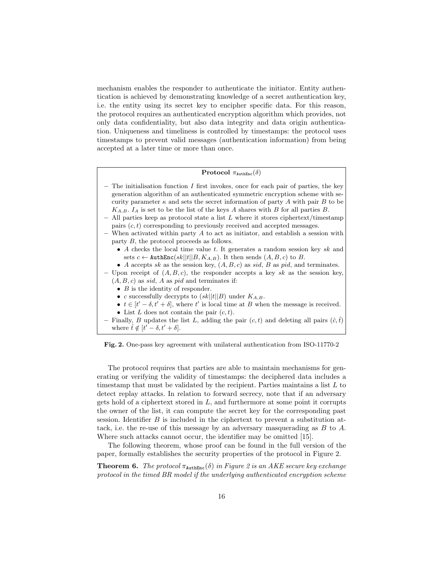mechanism enables the responder to authenticate the initiator. Entity authentication is achieved by demonstrating knowledge of a secret authentication key, i.e. the entity using its secret key to encipher specific data. For this reason, the protocol requires an authenticated encryption algorithm which provides, not only data confidentiality, but also data integrity and data origin authentication. Uniqueness and timeliness is controlled by timestamps: the protocol uses timestamps to prevent valid messages (authentication information) from being accepted at a later time or more than once.

# **Protocol**  $\pi_{\text{AuthEnc}}(\delta)$

- $-$  The initialisation function I first invokes, once for each pair of parties, the key generation algorithm of an authenticated symmetric encryption scheme with security parameter  $\kappa$  and sets the secret information of party A with pair B to be  $K_{A,B}$ .  $I_A$  is set to be the list of the keys A shares with B for all parties B.
- $-$  All parties keep as protocol state a list  $L$  where it stores ciphertext/timestamp pairs  $(c, t)$  corresponding to previously received and accepted messages.
- $-$  When activated within party  $A$  to act as initiator, and establish a session with party B, the protocol proceeds as follows.
	- A checks the local time value  $t$ . It generates a random session key  $sk$  and sets  $c \leftarrow$  AuthEnc $(sk||t||B, K_{A,B})$ . It then sends  $(A, B, c)$  to B.
- A accepts sk as the session key,  $(A, B, c)$  as sid, B as pid, and terminates. – Upon receipt of  $(A, B, c)$ , the responder accepts a key sk as the session key,  $(A, B, c)$  as sid, A as pid and terminates if:
	- $\bullet$  *B* is the identity of responder.
	- c successfully decrypts to  $(sk||t||B)$  under  $K_{A,B}$ .
	- $t \in [t'-\delta, t'+\delta]$ , where t' is local time at B when the message is received. • List  $L$  does not contain the pair  $(c, t)$ .
- Finally, B updates the list L, adding the pair  $(c, t)$  and deleting all pairs  $(\hat{c}, \hat{t})$ where  $\hat{t} \notin [t'-\delta, t'+\delta].$

Fig. 2. One-pass key agreement with unilateral authentication from ISO-11770-2

The protocol requires that parties are able to maintain mechanisms for generating or verifying the validity of timestamps: the deciphered data includes a timestamp that must be validated by the recipient. Parties maintains a list L to detect replay attacks. In relation to forward secrecy, note that if an adversary gets hold of a ciphertext stored in  $L$ , and furthermore at some point it corrupts the owner of the list, it can compute the secret key for the corresponding past session. Identifier  $B$  is included in the ciphertext to prevent a substitution attack, i.e. the re-use of this message by an adversary masquerading as B to A. Where such attacks cannot occur, the identifier may be omitted [15].

The following theorem, whose proof can be found in the full version of the paper, formally establishes the security properties of the protocol in Figure 2.

**Theorem 6.** The protocol  $\pi_{\text{Author}}(\delta)$  in Figure 2 is an AKE secure key exchange protocol in the timed BR model if the underlying authenticated encryption scheme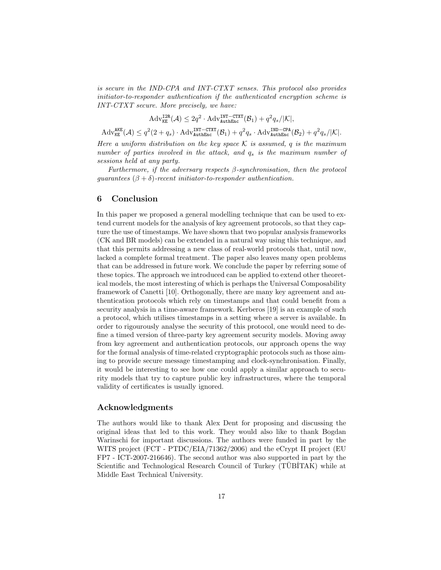is secure in the IND-CPA and INT-CTXT senses. This protocol also provides initiator-to-responder authentication if the authenticated encryption scheme is INT-CTXT secure. More precisely, we have:

$$
\operatorname{Adv}_{\texttt{KE}}^{\texttt{IZR}}(\mathcal{A}) \leq 2q^2 \cdot \operatorname{Adv}_{\texttt{AuthEnc}}^{\texttt{INT--CTXT}}(\mathcal{B}_1) + q^2 q_s / |\mathcal{K}|,
$$
  

$$
\operatorname{Adv}_{\texttt{KE}}^{\texttt{AKE}}(\mathcal{A}) \leq q^2 (2 + q_s) \cdot \operatorname{Adv}_{\texttt{AuthEnc}}^{\texttt{INT--CTXT}}(\mathcal{B}_1) + q^2 q_s \cdot \operatorname{Adv}_{\texttt{AuthEnc}}^{\texttt{IND--CPA}}(\mathcal{B}_2) + q^2 q_s / |\mathcal{K}|.
$$

Here a uniform distribution on the key space K is assumed, q is the maximum number of parties involved in the attack, and  $q_s$  is the maximum number of sessions held at any party.

Furthermore, if the adversary respects  $\beta$ -synchronisation, then the protocol guarantees  $(\beta + \delta)$ -recent initiator-to-responder authentication.

## 6 Conclusion

In this paper we proposed a general modelling technique that can be used to extend current models for the analysis of key agreement protocols, so that they capture the use of timestamps. We have shown that two popular analysis frameworks (CK and BR models) can be extended in a natural way using this technique, and that this permits addressing a new class of real-world protocols that, until now, lacked a complete formal treatment. The paper also leaves many open problems that can be addressed in future work. We conclude the paper by referring some of these topics. The approach we introduced can be applied to extend other theoretical models, the most interesting of which is perhaps the Universal Composability framework of Canetti [10]. Orthogonally, there are many key agreement and authentication protocols which rely on timestamps and that could benefit from a security analysis in a time-aware framework. Kerberos [19] is an example of such a protocol, which utilises timestamps in a setting where a server is available. In order to rigourously analyse the security of this protocol, one would need to define a timed version of three-party key agreement security models. Moving away from key agreement and authentication protocols, our approach opens the way for the formal analysis of time-related cryptographic protocols such as those aiming to provide secure message timestamping and clock-synchronisation. Finally, it would be interesting to see how one could apply a similar approach to security models that try to capture public key infrastructures, where the temporal validity of certificates is usually ignored.

# Acknowledgments

The authors would like to thank Alex Dent for proposing and discussing the original ideas that led to this work. They would also like to thank Bogdan Warinschi for important discussions. The authors were funded in part by the WITS project (FCT - PTDC/EIA/71362/2006) and the eCrypt II project (EU FP7 - ICT-2007-216646). The second author was also supported in part by the Scientific and Technological Research Council of Turkey (TUBITAK) while at Middle East Technical University.